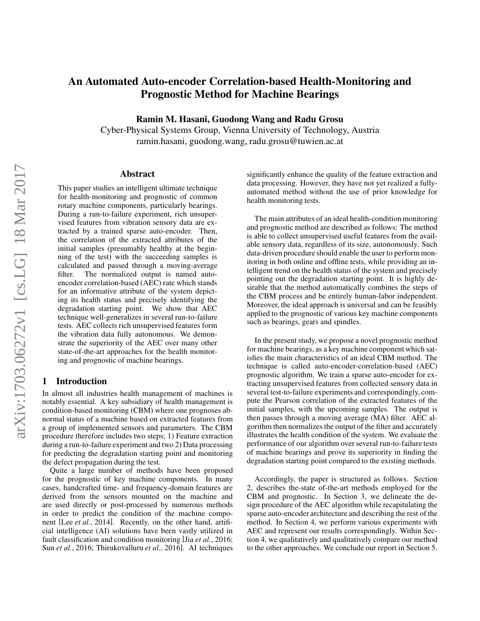# An Automated Auto-encoder Correlation-based Health-Monitoring and Prognostic Method for Machine Bearings

Ramin M. Hasani, Guodong Wang and Radu Grosu

Cyber-Physical Systems Group, Vienna University of Technology, Austria ramin.hasani, guodong.wang, radu.grosu@tuwien.ac.at

## Abstract

This paper studies an intelligent ultimate technique for health-monitoring and prognostic of common rotary machine components, particularly bearings. During a run-to-failure experiment, rich unsupervised features from vibration sensory data are extracted by a trained sparse auto-encoder. Then, the correlation of the extracted attributes of the initial samples (presumably healthy at the beginning of the test) with the succeeding samples is calculated and passed through a moving-average filter. The normalized output is named autoencoder correlation-based (AEC) rate which stands for an informative attribute of the system depicting its health status and precisely identifying the degradation starting point. We show that AEC technique well-generalizes in several run-to-failure tests. AEC collects rich unsupervised features form the vibration data fully autonomous. We demonstrate the superiority of the AEC over many other state-of-the-art approaches for the health monitoring and prognostic of machine bearings.

## 1 Introduction

In almost all industries health management of machines is notably essential. A key subsidiary of health management is condition-based monitoring (CBM) where one prognoses abnormal status of a machine based on extracted features from a group of implemented sensors and parameters. The CBM procedure therefore includes two steps; 1) Feature extraction during a run-to-failure experiment and two 2) Data processing for predicting the degradation starting point and monitoring the defect propagation during the test.

Quite a large number of methods have been proposed for the prognostic of key machine components. In many cases, handcrafted time- and frequency-domain features are derived from the sensors mounted on the machine and are used directly or post-processed by numerous methods in order to predict the condition of the machine component [Lee *et al.*, 2014]. Recently, on the other hand, artificial intelligence (AI) solutions have been vastly utilized in fault classification and condition monitoring [Jia *et al.*, 2016; Sun *et al.*, 2016; Thirukovalluru *et al.*, 2016]. AI techniques significantly enhance the quality of the feature extraction and data processing. However, they have not yet realized a fullyautomated method without the use of prior knowledge for health monitoring tests.

The main attributes of an ideal health-condition monitoring and prognostic method are described as follows: The method is able to collect unsupervised useful features from the available sensory data, regardless of its size, autonomously. Such data-driven procedure should enable the user to perform monitoring in both online and offline tests, while providing an intelligent trend on the health status of the system and precisely pointing out the degradation starting point. It is highly desirable that the method automatically combines the steps of the CBM process and be entirely human-labor independent. Moreover, the ideal approach is universal and can be feasibly applied to the prognostic of various key machine components such as bearings, gears and spindles.

In the present study, we propose a novel prognostic method for machine bearings, as a key machine component which satisfies the main characteristics of an ideal CBM method. The technique is called auto-encoder-correlation-based (AEC) prognostic algorithm. We train a sparse auto-encoder for extracting unsupervised features from collected sensory data in several test-to-failure experiments and correspondingly, compute the Pearson correlation of the extracted features of the initial samples, with the upcoming samples. The output is then passes through a moving average (MA) filter. AEC algorithm then normalizes the output of the filter and accurately illustrates the health condition of the system. We evaluate the performance of our algorithm over several run-to-failure tests of machine bearings and prove its superiority in finding the degradation starting point compared to the existing methods.

Accordingly, the paper is structured as follows. Section 2, describes the-state of-the-art methods employed for the CBM and prognostic. In Section 3, we delineate the design procedure of the AEC algorithm while recapitulating the sparse auto-encoder architecture and describing the rest of the method. In Section 4, we perform various experiments with AEC and represent our results correspondingly. Within Section 4, we qualitatively and qualitatively compare our method to the other approaches. We conclude our report in Section 5.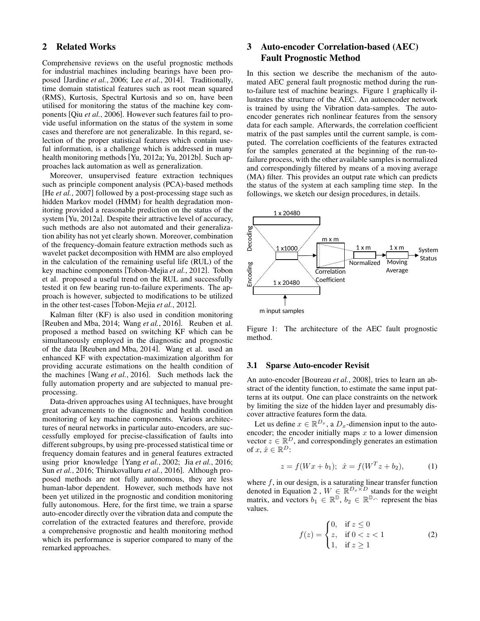# 2 Related Works

Comprehensive reviews on the useful prognostic methods for industrial machines including bearings have been proposed [Jardine *et al.*, 2006; Lee *et al.*, 2014]. Traditionally, time domain statistical features such as root mean squared (RMS), Kurtosis, Spectral Kurtosis and so on, have been utilised for monitoring the status of the machine key components [Qiu *et al.*, 2006]. However such features fail to provide useful information on the status of the system in some cases and therefore are not generalizable. In this regard, selection of the proper statistical features which contain useful information, is a challenge which is addressed in many health monitoring methods [Yu, 2012a; Yu, 2012b]. Such approaches lack automation as well as generalization.

Moreover, unsupervised feature extraction techniques such as principle component analysis (PCA)-based methods [He *et al.*, 2007] followed by a post-processing stage such as hidden Markov model (HMM) for health degradation monitoring provided a reasonable prediction on the status of the system [Yu, 2012a]. Despite their attractive level of accuracy, such methods are also not automated and their generalization ability has not yet clearly shown. Moreover, combination of the frequency-domain feature extraction methods such as wavelet packet decomposition with HMM are also employed in the calculation of the remaining useful life (RUL) of the key machine components [Tobon-Mejia *et al.*, 2012]. Tobon et al. proposed a useful trend on the RUL and successfully tested it on few bearing run-to-failure experiments. The approach is however, subjected to modifications to be utilized in the other test-cases [Tobon-Mejia *et al.*, 2012].

Kalman filter (KF) is also used in condition monitoring [Reuben and Mba, 2014; Wang *et al.*, 2016]. Reuben et al. proposed a method based on switching KF which can be simultaneously employed in the diagnostic and prognostic of the data [Reuben and Mba, 2014]. Wang et al. used an enhanced KF with expectation-maximization algorithm for providing accurate estimations on the health condition of the machines [Wang *et al.*, 2016]. Such methods lack the fully automation property and are subjected to manual preprocessing.

Data-driven approaches using AI techniques, have brought great advancements to the diagnostic and health condition monitoring of key machine components. Various architectures of neural networks in particular auto-encoders, are successfully employed for precise-classification of faults into different subgroups, by using pre-processed statistical time or frequency domain features and in general features extracted using prior knowledge [Yang *et al.*, 2002; Jia *et al.*, 2016; Sun *et al.*, 2016; Thirukovalluru *et al.*, 2016]. Although proposed methods are not fully autonomous, they are less human-labor dependent. However, such methods have not been yet utilized in the prognostic and condition monitoring fully autonomous. Here, for the first time, we train a sparse auto-encoder directly over the vibration data and compute the correlation of the extracted features and therefore, provide a comprehensive prognostic and health monitoring method which its performance is superior compared to many of the remarked approaches.

# 3 Auto-encoder Correlation-based (AEC) Fault Prognostic Method

In this section we describe the mechanism of the automated AEC general fault prognostic method during the runto-failure test of machine bearings. Figure 1 graphically illustrates the structure of the AEC. An autoencoder network is trained by using the Vibration data-samples. The autoencoder generates rich nonlinear features from the sensory data for each sample. Afterwards, the correlation coefficient matrix of the past samples until the current sample, is computed. The correlation coefficients of the features extracted for the samples generated at the beginning of the run-tofailure process, with the other available samples is normalized and correspondingly filtered by means of a moving average (MA) filter. This provides an output rate which can predicts the status of the system at each sampling time step. In the followings, we sketch our design procedures, in details.



Figure 1: The architecture of the AEC fault prognostic method.

#### 3.1 Sparse Auto-encoder Revisit

An auto-encoder [Boureau *et al.*, 2008], tries to learn an abstract of the identity function, to estimate the same input patterns at its output. One can place constraints on the network by limiting the size of the hidden layer and presumably discover attractive features form the data.

Let us define  $x \in \mathbb{R}^{D_x}$ , a  $D_x$ -dimension input to the autoencoder; the encoder initially maps  $x$  to a lower dimension vector  $z \in \mathbb{R}^D$ , and correspondingly generates an estimation of  $x, \hat{x} \in \mathbb{R}^D$ :

$$
z = f(Wx + b_1); \ \hat{x} = f(W^T z + b_2), \tag{1}
$$

where  $f$ , in our design, is a saturating linear transfer function denoted in Equation 2,  $W \in \mathbb{R}^{D_x \times D}$  stands for the weight matrix, and vectors  $b_1 \in \mathbb{R}^{\mathbb{D}}$ ,  $b_2 \in \mathbb{R}^{\mathbb{D}}$  represent the bias values.

$$
f(z) = \begin{cases} 0, & \text{if } z \le 0 \\ z, & \text{if } 0 < z < 1 \\ 1, & \text{if } z \ge 1 \end{cases}
$$
 (2)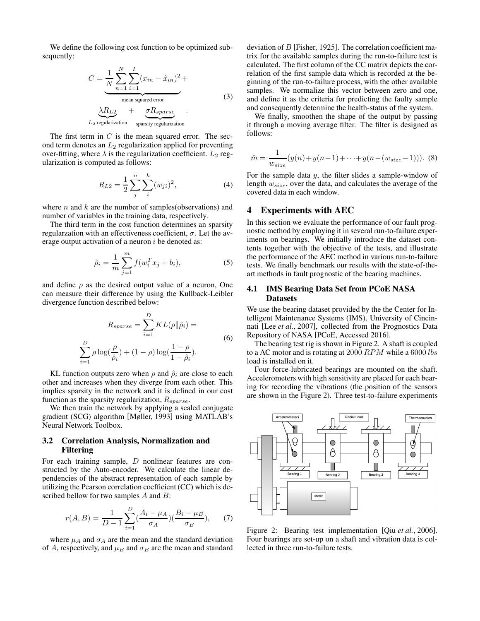We define the following cost function to be optimized subsequently:

$$
C = \underbrace{\frac{1}{N} \sum_{n=1}^{N} \sum_{i=1}^{I} (x_{in} - \hat{x}_{in})^2}_{\text{mean squared error}} + \underbrace{\lambda R_{L2}}_{\text{mean squared error}} + \underbrace{\sigma R_{sparse}}_{\text{mean source}} \tag{3}
$$

 $L_2$  regularization sparsity regularization

The first term in  $C$  is the mean squared error. The second term denotes an  $L_2$  regularization applied for preventing over-fitting, where  $\lambda$  is the regularization coefficient.  $L_2$  regularization is computed as follows:

$$
R_{L2} = \frac{1}{2} \sum_{j}^{n} \sum_{i}^{k} (w_{ji})^2,
$$
 (4)

where  $n$  and  $k$  are the number of samples(observations) and number of variables in the training data, respectively.

The third term in the cost function determines an sparsity regularzation with an effectiveness coefficient,  $\sigma$ . Let the average output activation of a neuron  $i$  be denoted as:

$$
\hat{\rho}_i = \frac{1}{m} \sum_{j=1}^m f(w_i^T x_j + b_i),\tag{5}
$$

and define  $\rho$  as the desired output value of a neuron, One can measure their difference by using the Kullback-Leibler divergence function described below:

$$
R_{sparse} = \sum_{i=1}^{D} KL(\rho || \hat{\rho}_i) =
$$
  

$$
\sum_{i=1}^{D} \rho \log(\frac{\rho}{\hat{\rho}_i}) + (1 - \rho) \log(\frac{1 - \rho}{1 - \hat{\rho}_i}).
$$
 (6)

KL function outputs zero when  $\rho$  and  $\hat{\rho}_i$  are close to each other and increases when they diverge from each other. This implies sparsity in the network and it is defined in our cost function as the sparsity regularization,  $R_{sparse}$ .

We then train the network by applying a scaled conjugate gradient (SCG) algorithm [Møller, 1993] using MATLAB's Neural Network Toolbox.

## 3.2 Correlation Analysis, Normalization and Filtering

For each training sample, D nonlinear features are constructed by the Auto-encoder. We calculate the linear dependencies of the abstract representation of each sample by utilizing the Pearson correlation coefficient (CC) which is described bellow for two samples A and B:

$$
r(A,B) = \frac{1}{D-1} \sum_{i=1}^{D} \left(\frac{A_i - \mu_A}{\sigma_A}\right) \left(\frac{B_i - \mu_B}{\sigma_B}\right), \tag{7}
$$

where  $\mu_A$  and  $\sigma_A$  are the mean and the standard deviation of A, respectively, and  $\mu_B$  and  $\sigma_B$  are the mean and standard deviation of B [Fisher, 1925]. The correlation coefficient matrix for the available samples during the run-to-failure test is calculated. The first column of the CC matrix depicts the correlation of the first sample data which is recorded at the beginning of the run-to-failure process, with the other available samples. We normalize this vector between zero and one, and define it as the criteria for predicting the faulty sample and consequently determine the health-status of the system.

We finally, smoothen the shape of the output by passing it through a moving average filter. The filter is designed as follows:

$$
\hat{m} = \frac{1}{w_{size}}(y(n) + y(n-1) + \dots + y(n - (w_{size} - 1))). \tag{8}
$$

For the sample data y, the filter slides a sample-window of length  $w_{size}$ , over the data, and calculates the average of the covered data in each window.

## 4 Experiments with AEC

In this section we evaluate the performance of our fault prognostic method by employing it in several run-to-failure experiments on bearings. We initially introduce the dataset contents together with the objective of the tests, and illustrate the performance of the AEC method in various run-to-failure tests. We finally benchmark our results with the state-of-theart methods in fault prognostic of the bearing machines.

## 4.1 IMS Bearing Data Set from PCoE NASA Datasets

We use the bearing dataset provided by the the Center for Intelligent Maintenance Systems (IMS), University of Cincinnati [Lee *et al.*, 2007], collected from the Prognostics Data Repository of NASA [PCoE, Accessed 2016].

The bearing test rig is shown in Figure 2. A shaft is coupled to a AC motor and is rotating at  $2000$   $RPM$  while a 6000 lbs load is installed on it.

Four force-lubricated bearings are mounted on the shaft. Accelerometers with high sensitivity are placed for each bearing for recording the vibrations (the position of the sensors are shown in the Figure 2). Three test-to-failure experiments



Figure 2: Bearing test implementation [Qiu *et al.*, 2006]. Four bearings are set-up on a shaft and vibration data is collected in three run-to-failure tests.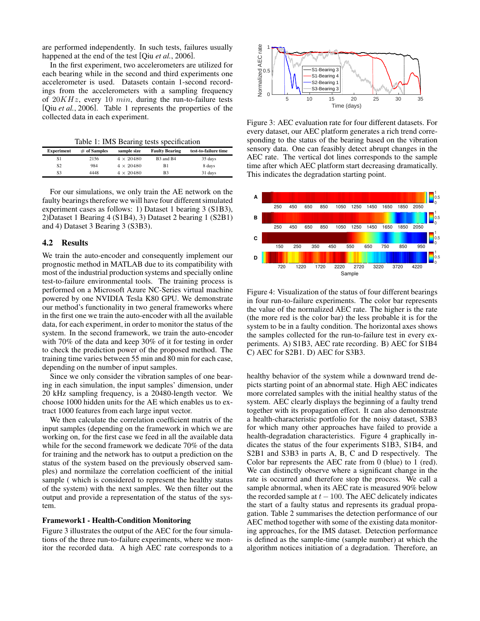are performed independently. In such tests, failures usually happened at the end of the test [Qiu *et al.*, 2006].

In the first experiment, two accelerometers are utilized for each bearing while in the second and third experiments one accelerometer is used. Datasets contain 1-second recordings from the accelerometers with a sampling frequency of  $20KHz$ , every 10  $min$ , during the run-to-failure tests [Qiu *et al.*, 2006]. Table 1 represents the properties of the collected data in each experiment.

Table 1: IMS Bearing tests specification

| <b>Experiment</b> | $#$ of Samples | sample size      | <b>Faulty Bearing</b>             | test-to-failure time |
|-------------------|----------------|------------------|-----------------------------------|----------------------|
| S1                | 2156           | $4 \times 20480$ | B <sub>3</sub> and B <sub>4</sub> | 35 days              |
| S2                | 984            | $4 \times 20480$ | B1                                | 8 days               |
| S3                | 4448           | $4 \times 20480$ | B <sub>3</sub>                    | 31 days              |

For our simulations, we only train the AE network on the faulty bearings therefore we will have four different simulated experiment cases as follows: 1) Dataset 1 bearing 3 (S1B3), 2)Dataset 1 Bearing 4 (S1B4), 3) Dataset 2 bearing 1 (S2B1) and 4) Dataset 3 Bearing 3 (S3B3).

#### 4.2 Results

We train the auto-encoder and consequently implement our prognostic method in MATLAB due to its compatibility with most of the industrial production systems and specially online test-to-failure environmental tools. The training process is performed on a Microsoft Azure NC-Series virtual machine powered by one NVIDIA Tesla K80 GPU. We demonstrate our method's functionality in two general frameworks where in the first one we train the auto-encoder with all the available data, for each experiment, in order to monitor the status of the system. In the second framework, we train the auto-encoder with 70% of the data and keep 30% of it for testing in order to check the prediction power of the proposed method. The training time varies between 55 min and 80 min for each case, depending on the number of input samples.

Since we only consider the vibration samples of one bearing in each simulation, the input samples' dimension, under 20 kHz sampling frequency, is a 20480-length vector. We choose 1000 hidden units for the AE which enables us to extract 1000 features from each large input vector.

We then calculate the correlation coefficient matrix of the input samples (depending on the framework in which we are working on, for the first case we feed in all the available data while for the second framework we dedicate 70% of the data for training and the network has to output a prediction on the status of the system based on the previously observed samples) and normilaze the correlation coefficient of the initial sample ( which is considered to represent the healthy status of the system) with the next samples. We then filter out the output and provide a representation of the status of the system.

#### Framework1 - Health-Condition Monitoring

Figure 3 illustrates the output of the AEC for the four simulations of the three run-to-failure experiments, where we monitor the recorded data. A high AEC rate corresponds to a



Figure 3: AEC evaluation rate for four different datasets. For every dataset, our AEC platform generates a rich trend corresponding to the status of the bearing based on the vibration sensory data. One can feasibly detect abrupt changes in the AEC rate. The vertical dot lines corresponds to the sample time after which AEC platform start decreasing dramatically. This indicates the degradation starting point.



Figure 4: Visualization of the status of four different bearings in four run-to-failure experiments. The color bar represents the value of the normalized AEC rate. The higher is the rate (the more red is the color bar) the less probable it is for the system to be in a faulty condition. The horizontal axes shows the samples collected for the run-to-failure test in every experiments. A) S1B3, AEC rate recording. B) AEC for S1B4 C) AEC for S2B1. D) AEC for S3B3.

healthy behavior of the system while a downward trend depicts starting point of an abnormal state. High AEC indicates more correlated samples with the initial healthy status of the system. AEC clearly displays the beginning of a faulty trend together with its propagation effect. It can also demonstrate a health-characteristic portfolio for the noisy dataset, S3B3 for which many other approaches have failed to provide a health-degradation characteristics. Figure 4 graphically indicates the status of the four experiments S1B3, S1B4, and S2B1 and S3B3 in parts A, B, C and D respectively. The Color bar represents the AEC rate from 0 (blue) to 1 (red). We can distinctly observe where a significant change in the rate is occurred and therefore stop the process. We call a sample abnormal, when its AEC rate is measured 90% below the recorded sample at  $t - 100$ . The AEC delicately indicates the start of a faulty status and represents its gradual propagation. Table 2 summarises the detection performance of our AEC method together with some of the existing data monitoring approaches, for the IMS dataset. Detection performance is defined as the sample-time (sample number) at which the algorithm notices initiation of a degradation. Therefore, an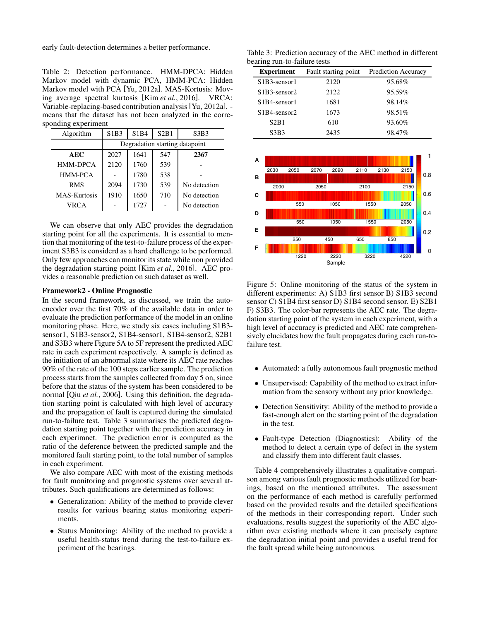early fault-detection determines a better performance.

Table 2: Detection performance. HMM-DPCA: Hidden Markov model with dynamic PCA, HMM-PCA: Hidden Markov model with PCA [Yu, 2012a]. MAS-Kortusis: Moving average spectral kurtosis [Kim *et al.*, 2016]. VRCA: Variable-replacing-based contribution analysis [Yu, 2012a]. means that the dataset has not been analyzed in the corresponding experiment

| Algorithm    | S1B3                           | S1B4 | S2B1 | S3B3         |  |  |  |
|--------------|--------------------------------|------|------|--------------|--|--|--|
|              | Degradation starting datapoint |      |      |              |  |  |  |
| <b>AEC</b>   | 2027                           | 1641 | 547  | 2367         |  |  |  |
| HMM-DPCA     | 2120                           | 1760 | 539  |              |  |  |  |
| HMM-PCA      |                                | 1780 | 538  |              |  |  |  |
| <b>RMS</b>   | 2094                           | 1730 | 539  | No detection |  |  |  |
| MAS-Kurtosis | 1910                           | 1650 | 710  | No detection |  |  |  |
| VRCA         |                                | 1727 |      | No detection |  |  |  |

We can observe that only AEC provides the degradation starting point for all the experiments. It is essential to mention that monitoring of the test-to-failure process of the experiment S3B3 is considerd as a hard challenge to be performed. Only few approaches can monitor its state while non provided the degradation starting point [Kim *et al.*, 2016]. AEC provides a reasonable prediction on such dataset as well.

#### Framework2 - Online Prognostic

In the second framework, as discussed, we train the autoencoder over the first 70% of the available data in order to evaluate the prediction performance of the model in an online monitoring phase. Here, we study six cases including S1B3 sensor1, S1B3-sensor2, S1B4-sensor1, S1B4-sensor2, S2B1 and S3B3 where Figure 5A to 5F represent the predicted AEC rate in each experiment respectively. A sample is defined as the initiation of an abnormal state where its AEC rate reaches 90% of the rate of the 100 steps earlier sample. The prediction process starts from the samples collected from day 5 on, since before that the status of the system has been considered to be normal [Qiu *et al.*, 2006]. Using this definition, the degradation starting point is calculated with high level of accuracy and the propagation of fault is captured during the simulated run-to-failure test. Table 3 summarises the predicted degradation starting point together with the prediction accuracy in each experimnet. The prediction error is computed as the ratio of the deference between the predicted sample and the monitored fault starting point, to the total number of samples in each experiment.

We also compare AEC with most of the existing methods for fault monitoring and prognostic systems over several attributes. Such qualifications are determined as follows:

- Generalization: Ability of the method to provide clever results for various bearing status monitoring experiments.
- Status Monitoring: Ability of the method to provide a useful health-status trend during the test-to-failure experiment of the bearings.

Table 3: Prediction accuracy of the AEC method in different bearing run-to-failure tests

| <b>Experiment</b>                                  | Fault starting point | <b>Prediction Accuracy</b> |
|----------------------------------------------------|----------------------|----------------------------|
| S1B3-sensor1                                       | 2120                 | 95.68%                     |
| $S1B3$ -sensor2                                    | 2122                 | 95.59%                     |
| S <sub>1</sub> B <sub>4</sub> -sensor <sub>1</sub> | 1681                 | 98.14%                     |
| $S1B4$ -sensor2                                    | 1673                 | 98.51%                     |
| S2B1                                               | 610                  | 93.60%                     |
| S3B3                                               | 2435                 | 98.47%                     |



Figure 5: Online monitoring of the status of the system in different experiments: A) S1B3 first sensor B) S1B3 second sensor C) S1B4 first sensor D) S1B4 second sensor. E) S2B1 F) S3B3. The color-bar represents the AEC rate. The degradation starting point of the system in each experiment, with a high level of accuracy is predicted and AEC rate comprehensively elucidates how the fault propagates during each run-tofailure test.

- Automated: a fully autonomous fault prognostic method
- Unsupervised: Capability of the method to extract information from the sensory without any prior knowledge.
- Detection Sensitivity: Ability of the method to provide a fast-enough alert on the starting point of the degradation in the test.
- Fault-type Detection (Diagnostics): Ability of the method to detect a certain type of defect in the system and classify them into different fault classes.

Table 4 comprehensively illustrates a qualitative comparison among various fault prognostic methods utilized for bearings, based on the mentioned attributes. The assessment on the performance of each method is carefully performed based on the provided results and the detailed specifications of the methods in their corresponding report. Under such evaluations, results suggest the superiority of the AEC algorithm over existing methods where it can precisely capture the degradation initial point and provides a useful trend for the fault spread while being autonomous.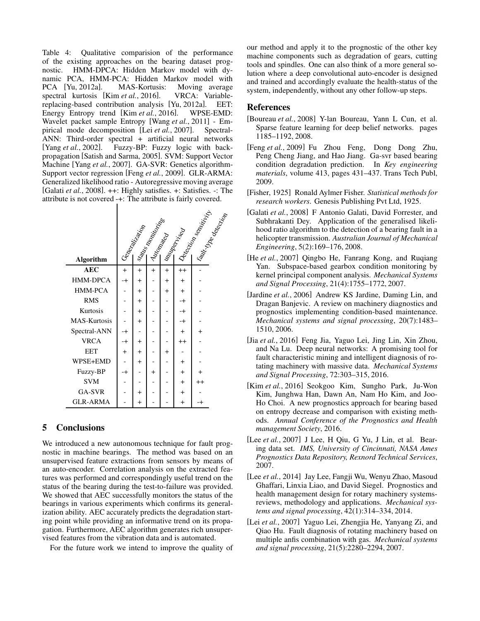Table 4: Qualitative comparision of the performance of the existing approaches on the bearing dataset prognostic. HMM-DPCA: Hidden Markov model with dynamic PCA, HMM-PCA: Hidden Markov model with PCA [Yu, 2012a]. MAS-Kortusis: Moving average spectral kurtosis [Kim *et al.*, 2016]. VRCA: Variablereplacing-based contribution analysis [Yu, 2012a]. EET: Energy Entropy trend [Kim *et al.*, 2016]. WPSE-EMD: Wavelet packet sample Entropy [Wang *et al.*, 2011] - Empirical mode decomposition [Lei *et al.*, 2007]. Spectral-ANN: Third-order spectral + artificial neural networks [Yang *et al.*, 2002]. Fuzzy-BP: Fuzzy logic with backpropagation [Satish and Sarma, 2005]. SVM: Support Vector Machine [Yang *et al.*, 2007]. GA-SVR: Genetics algorithm-Support vector regression [Feng *et al.*, 2009]. GLR-ARMA: Generalized likelihood ratio - Autoregressive moving average [Galati *et al.*, 2008]. ++: Highly satisfies. +: Satisfies. -: The attribute is not covered -+: The attribute is fairly covered.

|                     | Hans Reading the Strange Carpet of Hand Reading<br>Georgie Hallison |           |           |           | <b>Famility Replacement</b> |           |
|---------------------|---------------------------------------------------------------------|-----------|-----------|-----------|-----------------------------|-----------|
|                     |                                                                     |           |           |           |                             |           |
| <b>Algorithm</b>    |                                                                     |           |           |           |                             |           |
| <b>AEC</b>          | $+$                                                                 | $+$       | $^{+}$    | $+$       | $^{++}$                     |           |
| <b>HMM-DPCA</b>     | -+                                                                  | $+$       |           | $+$       | $+$                         |           |
| HMM-PCA             |                                                                     | $+$       |           | $+$       | $+$                         |           |
| <b>RMS</b>          |                                                                     | $+$       |           |           | -+                          |           |
| Kurtosis            |                                                                     | $+$       |           |           | -+                          |           |
| <b>MAS-Kurtosis</b> |                                                                     | $+$       |           |           | -+                          |           |
| Spectral-ANN        | -+                                                                  |           |           |           | $+$                         | $^{+}$    |
| <b>VRCA</b>         | -+                                                                  | $\ddot{}$ |           |           | $^{++}$                     |           |
| <b>EET</b>          | $^{+}$                                                              | $\ddot{}$ |           | $\ddot{}$ |                             |           |
| WPSE+EMD            |                                                                     | $+$       |           |           | $\ddot{}$                   |           |
| Fuzzy-BP            | -+                                                                  |           | $\ddot{}$ |           | $+$                         | $\ddot{}$ |
| <b>SVM</b>          |                                                                     |           |           |           | $+$                         | $^{++}$   |
| GA-SVR              |                                                                     | $+$       |           |           | $+$                         |           |
| <b>GLR-ARMA</b>     |                                                                     | $+$       |           |           | $\ddot{}$                   |           |

## 5 Conclusions

We introduced a new autonomous technique for fault prognostic in machine bearings. The method was based on an unsupervised feature extractions from sensors by means of an auto-encoder. Correlation analysis on the extracted features was performed and correspondingly useful trend on the status of the bearing during the test-to-failure was provided. We showed that AEC successfully monitors the status of the bearings in various experiments which confirms its generalization ability. AEC accurately predicts the degradation starting point while providing an informative trend on its propagation. Furthermore, AEC algorithm generates rich unsupervised features from the vibration data and is automated.

For the future work we intend to improve the quality of

our method and apply it to the prognostic of the other key machine components such as degradation of gears, cutting tools and spindles. One can also think of a more general solution where a deep convolutional auto-encoder is designed and trained and accordingly evaluate the health-status of the system, independently, without any other follow-up steps.

# References

- [Boureau *et al.*, 2008] Y-lan Boureau, Yann L Cun, et al. Sparse feature learning for deep belief networks. pages 1185–1192, 2008.
- [Feng *et al.*, 2009] Fu Zhou Feng, Dong Dong Zhu, Peng Cheng Jiang, and Hao Jiang. Ga-svr based bearing condition degradation prediction. In *Key engineering materials*, volume 413, pages 431–437. Trans Tech Publ, 2009.
- [Fisher, 1925] Ronald Aylmer Fisher. *Statistical methods for research workers*. Genesis Publishing Pvt Ltd, 1925.
- [Galati *et al.*, 2008] F Antonio Galati, David Forrester, and Subhrakanti Dey. Application of the generalised likelihood ratio algorithm to the detection of a bearing fault in a helicopter transmission. *Australian Journal of Mechanical Engineering*, 5(2):169–176, 2008.
- [He *et al.*, 2007] Qingbo He, Fanrang Kong, and Ruqiang Yan. Subspace-based gearbox condition monitoring by kernel principal component analysis. *Mechanical Systems and Signal Processing*, 21(4):1755–1772, 2007.
- [Jardine *et al.*, 2006] Andrew KS Jardine, Daming Lin, and Dragan Banjevic. A review on machinery diagnostics and prognostics implementing condition-based maintenance. *Mechanical systems and signal processing*, 20(7):1483– 1510, 2006.
- [Jia *et al.*, 2016] Feng Jia, Yaguo Lei, Jing Lin, Xin Zhou, and Na Lu. Deep neural networks: A promising tool for fault characteristic mining and intelligent diagnosis of rotating machinery with massive data. *Mechanical Systems and Signal Processing*, 72:303–315, 2016.
- [Kim *et al.*, 2016] Seokgoo Kim, Sungho Park, Ju-Won Kim, Junghwa Han, Dawn An, Nam Ho Kim, and Joo-Ho Choi. A new prognostics approach for bearing based on entropy decrease and comparison with existing methods. *Annual Conference of the Prognostics and Health management Society*, 2016.
- [Lee *et al.*, 2007] J Lee, H Qiu, G Yu, J Lin, et al. Bearing data set. *IMS, University of Cincinnati, NASA Ames Prognostics Data Repository, Rexnord Technical Services*, 2007.
- [Lee *et al.*, 2014] Jay Lee, Fangji Wu, Wenyu Zhao, Masoud Ghaffari, Linxia Liao, and David Siegel. Prognostics and health management design for rotary machinery systemsreviews, methodology and applications. *Mechanical systems and signal processing*, 42(1):314–334, 2014.
- [Lei *et al.*, 2007] Yaguo Lei, Zhengjia He, Yanyang Zi, and Qiao Hu. Fault diagnosis of rotating machinery based on multiple anfis combination with gas. *Mechanical systems and signal processing*, 21(5):2280–2294, 2007.